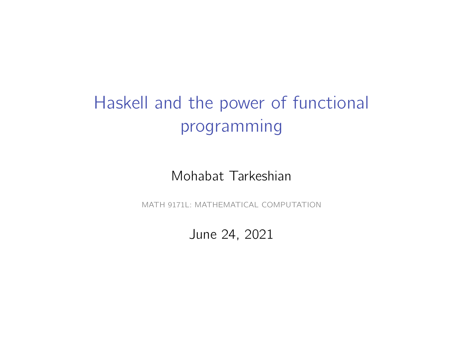# Haskell and the power of functional programming

#### Mohabat Tarkeshian

MATH 9171L: MATHEMATICAL COMPUTATION

#### June 24, 2021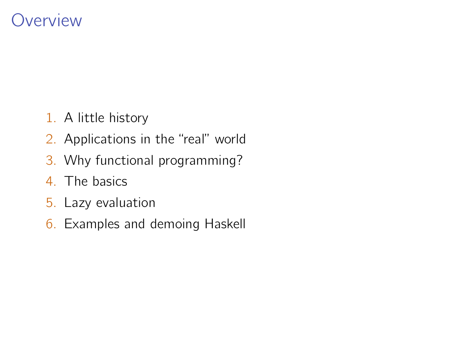## **Overview**

- 1. A little history
- 2. Applications in the "real" world
- 3. Why functional programming?
- 4. The basics
- 5. Lazy evaluation
- 6. Examples and demoing Haskell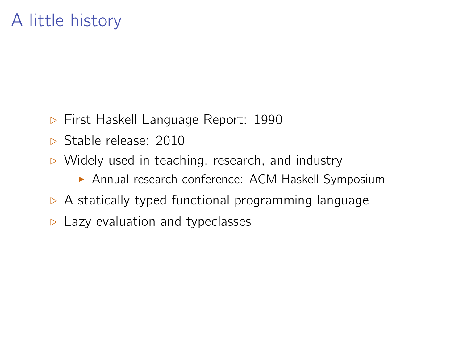# A little history

- $\triangleright$  First Haskell Language Report: 1990
- Stable release: 2010
- $\triangleright$  Widely used in teaching, research, and industry
	- **Annual research conference: ACM Haskell Symposium**
- $\triangleright$  A statically typed functional programming language
- $\triangleright$  Lazy evaluation and typeclasses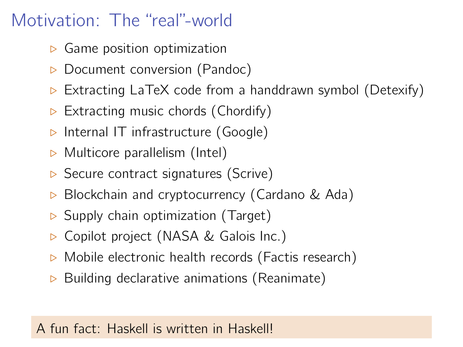# Motivation: The "real"-world

- $\triangleright$  Game position optimization
- $\triangleright$  Document conversion (Pandoc)
- Extracting LaTeX code from a handdrawn symbol (Detexify)
- $\triangleright$  Extracting music chords (Chordify)
- $\triangleright$  Internal IT infrastructure (Google)
- $\triangleright$  Multicore parallelism (Intel)
- $\triangleright$  Secure contract signatures (Scrive)
- $\triangleright$  Blockchain and cryptocurrency (Cardano & Ada)
- $\triangleright$  Supply chain optimization (Target)
- **▷ Copilot project (NASA & Galois Inc.)**
- $\triangleright$  Mobile electronic health records (Factis research)
- $\triangleright$  Building declarative animations (Reanimate)

## A fun fact: Haskell is written in Haskell!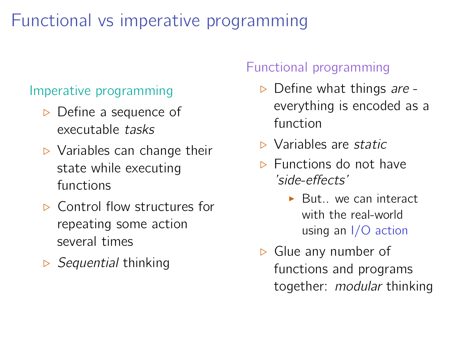# Functional vs imperative programming

#### Imperative programming

- $\triangleright$  Define a sequence of executable tasks
- $\triangleright$  Variables can change their state while executing functions
- $\triangleright$  Control flow structures for repeating some action several times
- $\triangleright$  Sequential thinking

### Functional programming

- $\triangleright$  Define what things are everything is encoded as a function
- $\triangleright$  Variables are static
- $\triangleright$  Functions do not have 'side-effects'
	- $\blacktriangleright$  But... we can interact with the real-world using an I/O action
- $\triangleright$  Glue any number of functions and programs together: modular thinking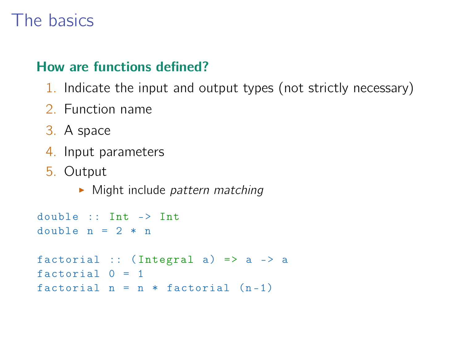## The basics

### How are functions defined?

- 1. Indicate the input and output types (not strictly necessary)
- 2. Function name
- 3. A space
- 4. Input parameters
- 5. Output
	- $\blacktriangleright$  Might include pattern matching

```
double :: Int -> Int
double n = 2 * nfactorial :: (Integral a) => a \rightarrow afactorial 0 = 1factorial n = n * factorial (n-1)
```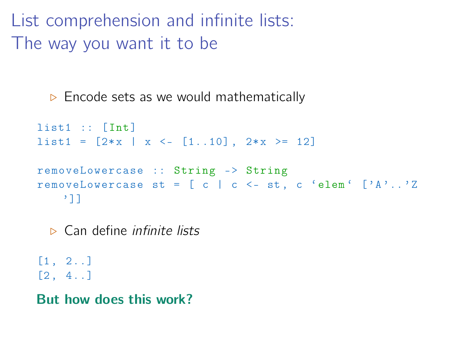List comprehension and infinite lists: The way you want it to be

 $\triangleright$  Encode sets as we would mathematically

```
list1 :: [Int]
list1 = [2*x | x \leftarrow [1..10], 2*x \ge 12]removeLowercase :: String -> String
removeLowercase st = \begin{bmatrix} c & c & c - st \\ c & d & d \end{bmatrix} ('A'..'Z
    ']]
```
 $\triangleright$  Can define *infinite lists* 

[1 , 2..]  $[2, 4..]$ 

But how does this work?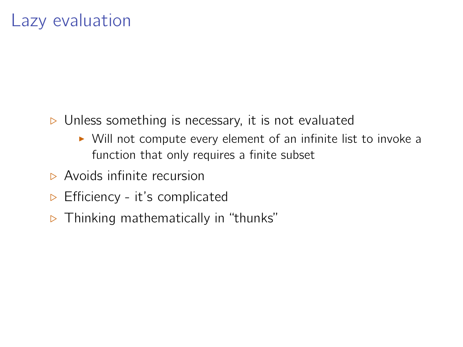- $\triangleright$  Unless something is necessary, it is not evaluated
	- $\triangleright$  Will not compute every element of an infinite list to invoke a function that only requires a finite subset
- **E** Avoids infinite recursion
- $\triangleright$  Efficiency it's complicated
- $\triangleright$  Thinking mathematically in "thunks"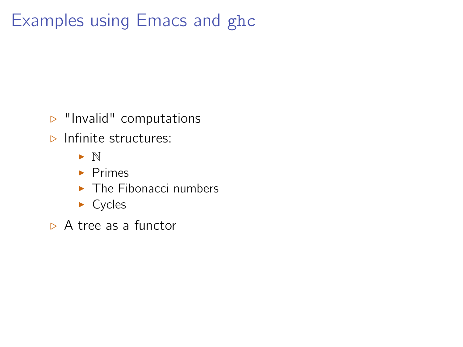# Examples using Emacs and ghc

- $\triangleright$  "Invalid" computations
- $\triangleright$  Infinite structures:
	- $\blacktriangleright$  N
	- $\blacktriangleright$  Primes
	- $\blacktriangleright$  The Fibonacci numbers
	- $\triangleright$  Cycles
- $\triangleright$  A tree as a functor